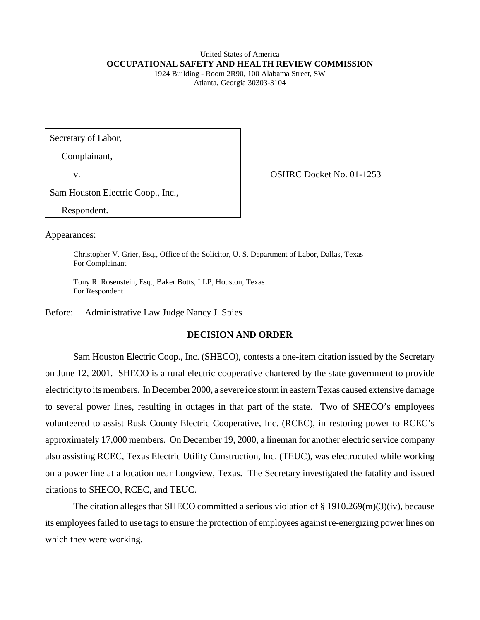# United States of America **OCCUPATIONAL SAFETY AND HEALTH REVIEW COMMISSION**

1924 Building - Room 2R90, 100 Alabama Street, SW Atlanta, Georgia 30303-3104

Secretary of Labor,

Complainant,

v.

OSHRC Docket No. 01-1253

Sam Houston Electric Coop., Inc.,

Respondent.

Appearances:

Christopher V. Grier, Esq., Office of the Solicitor, U. S. Department of Labor, Dallas, Texas For Complainant

Tony R. Rosenstein, Esq., Baker Botts, LLP, Houston, Texas For Respondent

Before: Administrative Law Judge Nancy J. Spies

# **DECISION AND ORDER**

Sam Houston Electric Coop., Inc. (SHECO), contests a one-item citation issued by the Secretary on June 12, 2001. SHECO is a rural electric cooperative chartered by the state government to provide electricity to its members. In December 2000, a severe ice storm in eastern Texas caused extensive damage to several power lines, resulting in outages in that part of the state. Two of SHECO's employees volunteered to assist Rusk County Electric Cooperative, Inc. (RCEC), in restoring power to RCEC's approximately 17,000 members. On December 19, 2000, a lineman for another electric service company also assisting RCEC, Texas Electric Utility Construction, Inc. (TEUC), was electrocuted while working on a power line at a location near Longview, Texas. The Secretary investigated the fatality and issued citations to SHECO, RCEC, and TEUC.

The citation alleges that SHECO committed a serious violation of  $\S 1910.269(m)(3)(iv)$ , because its employees failed to use tags to ensure the protection of employees against re-energizing power lines on which they were working.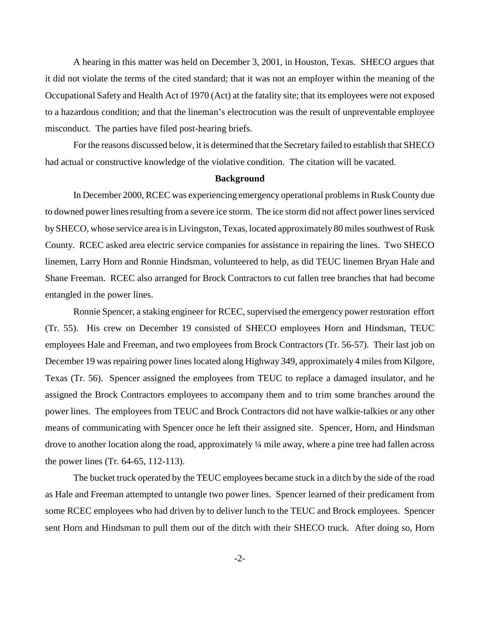A hearing in this matter was held on December 3, 2001, in Houston, Texas. SHECO argues that it did not violate the terms of the cited standard; that it was not an employer within the meaning of the Occupational Safety and Health Act of 1970 (Act) at the fatality site; that its employees were not exposed to a hazardous condition; and that the lineman's electrocution was the result of unpreventable employee misconduct. The parties have filed post-hearing briefs.

For the reasons discussed below, it is determined that the Secretary failed to establish that SHECO had actual or constructive knowledge of the violative condition. The citation will be vacated.

#### **Background**

In December 2000, RCEC was experiencing emergency operational problems in Rusk County due to downed power lines resulting from a severe ice storm. The ice storm did not affect power lines serviced by SHECO, whose service area is in Livingston, Texas, located approximately 80 miles southwest of Rusk County. RCEC asked area electric service companies for assistance in repairing the lines. Two SHECO linemen, Larry Horn and Ronnie Hindsman, volunteered to help, as did TEUC linemen Bryan Hale and Shane Freeman. RCEC also arranged for Brock Contractors to cut fallen tree branches that had become entangled in the power lines.

Ronnie Spencer, a staking engineer for RCEC, supervised the emergency power restoration effort (Tr. 55). His crew on December 19 consisted of SHECO employees Horn and Hindsman, TEUC employees Hale and Freeman, and two employees from Brock Contractors (Tr. 56-57). Their last job on December 19 was repairing power lines located along Highway 349, approximately 4 miles from Kilgore, Texas (Tr. 56). Spencer assigned the employees from TEUC to replace a damaged insulator, and he assigned the Brock Contractors employees to accompany them and to trim some branches around the power lines. The employees from TEUC and Brock Contractors did not have walkie-talkies or any other means of communicating with Spencer once he left their assigned site. Spencer, Horn, and Hindsman drove to another location along the road, approximately ¼ mile away, where a pine tree had fallen across the power lines (Tr. 64-65, 112-113).

The bucket truck operated by the TEUC employees became stuck in a ditch by the side of the road as Hale and Freeman attempted to untangle two power lines. Spencer learned of their predicament from some RCEC employees who had driven by to deliver lunch to the TEUC and Brock employees. Spencer sent Horn and Hindsman to pull them out of the ditch with their SHECO truck. After doing so, Horn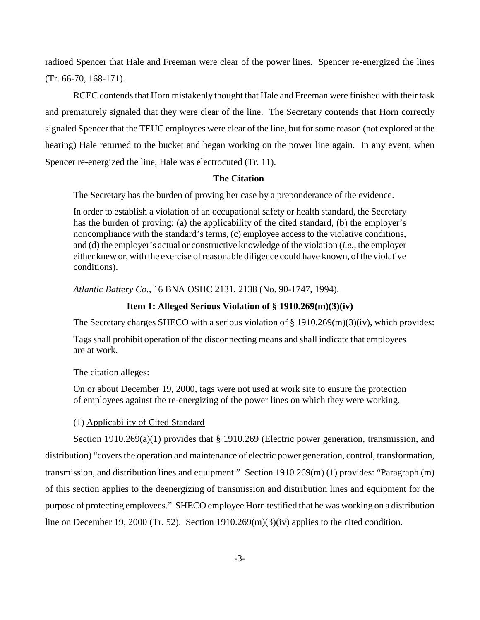radioed Spencer that Hale and Freeman were clear of the power lines. Spencer re-energized the lines (Tr. 66-70, 168-171).

RCEC contends that Horn mistakenly thought that Hale and Freeman were finished with their task and prematurely signaled that they were clear of the line. The Secretary contends that Horn correctly signaled Spencer that the TEUC employees were clear of the line, but for some reason (not explored at the hearing) Hale returned to the bucket and began working on the power line again. In any event, when Spencer re-energized the line, Hale was electrocuted (Tr. 11).

# **The Citation**

The Secretary has the burden of proving her case by a preponderance of the evidence.

In order to establish a violation of an occupational safety or health standard, the Secretary has the burden of proving: (a) the applicability of the cited standard, (b) the employer's noncompliance with the standard's terms, (c) employee access to the violative conditions, and (d) the employer's actual or constructive knowledge of the violation (*i.e.,* the employer either knew or, with the exercise of reasonable diligence could have known, of the violative conditions).

*Atlantic Battery Co.,* 16 BNA OSHC 2131, 2138 (No. 90-1747, 1994).

# **Item 1: Alleged Serious Violation of § 1910.269(m)(3)(iv)**

The Secretary charges SHECO with a serious violation of § 1910.269(m)(3)(iv), which provides:

Tags shall prohibit operation of the disconnecting means and shall indicate that employees are at work.

The citation alleges:

On or about December 19, 2000, tags were not used at work site to ensure the protection of employees against the re-energizing of the power lines on which they were working.

# (1) Applicability of Cited Standard

Section 1910.269(a)(1) provides that § 1910.269 (Electric power generation, transmission, and distribution) "covers the operation and maintenance of electric power generation, control, transformation, transmission, and distribution lines and equipment." Section 1910.269(m) (1) provides: "Paragraph (m) of this section applies to the deenergizing of transmission and distribution lines and equipment for the purpose of protecting employees." SHECO employee Horn testified that he was working on a distribution line on December 19, 2000 (Tr. 52). Section  $1910.269(m)(3)(iv)$  applies to the cited condition.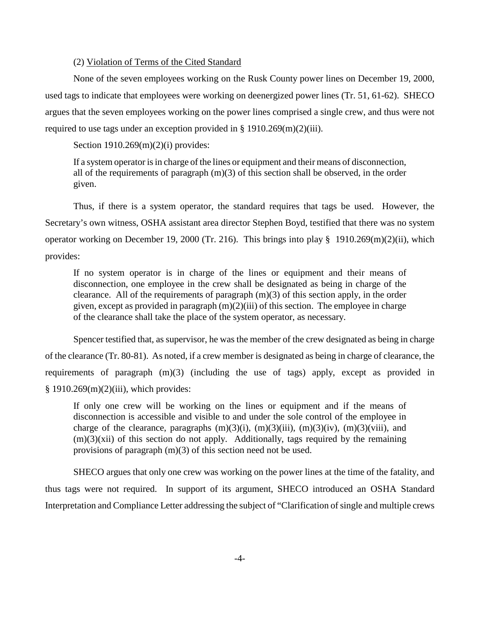# (2) Violation of Terms of the Cited Standard

None of the seven employees working on the Rusk County power lines on December 19, 2000, used tags to indicate that employees were working on deenergized power lines (Tr. 51, 61-62). SHECO argues that the seven employees working on the power lines comprised a single crew, and thus were not required to use tags under an exception provided in  $\S$  1910.269(m)(2)(iii).

Section 1910.269(m)(2)(i) provides:

If a system operator is in charge of the lines or equipment and their means of disconnection, all of the requirements of paragraph (m)(3) of this section shall be observed, in the order given.

Thus, if there is a system operator, the standard requires that tags be used. However, the Secretary's own witness, OSHA assistant area director Stephen Boyd, testified that there was no system operator working on December 19, 2000 (Tr. 216). This brings into play § 1910.269(m)(2)(ii), which provides:

If no system operator is in charge of the lines or equipment and their means of disconnection, one employee in the crew shall be designated as being in charge of the clearance. All of the requirements of paragraph (m)(3) of this section apply, in the order given, except as provided in paragraph  $(m)(2)(iii)$  of this section. The employee in charge of the clearance shall take the place of the system operator, as necessary.

Spencer testified that, as supervisor, he was the member of the crew designated as being in charge of the clearance (Tr. 80-81). As noted, if a crew member is designated as being in charge of clearance, the requirements of paragraph (m)(3) (including the use of tags) apply, except as provided in  $§ 1910.269(m)(2)(iii)$ , which provides:

If only one crew will be working on the lines or equipment and if the means of disconnection is accessible and visible to and under the sole control of the employee in charge of the clearance, paragraphs  $(m)(3)(i)$ ,  $(m)(3)(iii)$ ,  $(m)(3)(iv)$ ,  $(m)(3)(viii)$ , and  $(m)(3)(xii)$  of this section do not apply. Additionally, tags required by the remaining provisions of paragraph (m)(3) of this section need not be used.

SHECO argues that only one crew was working on the power lines at the time of the fatality, and thus tags were not required. In support of its argument, SHECO introduced an OSHA Standard Interpretation and Compliance Letter addressing the subject of "Clarification of single and multiple crews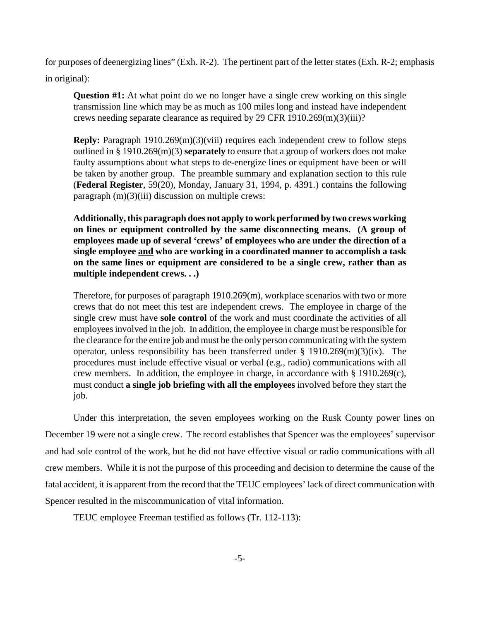for purposes of deenergizing lines" (Exh. R-2). The pertinent part of the letter states (Exh. R-2; emphasis in original):

**Question #1:** At what point do we no longer have a single crew working on this single transmission line which may be as much as 100 miles long and instead have independent crews needing separate clearance as required by 29 CFR 1910.269(m)(3)(iii)?

**Reply:** Paragraph 1910.269(m)(3)(viii) requires each independent crew to follow steps outlined in § 1910.269(m)(3) **separately** to ensure that a group of workers does not make faulty assumptions about what steps to de-energize lines or equipment have been or will be taken by another group. The preamble summary and explanation section to this rule (**Federal Register**, 59(20), Monday, January 31, 1994, p. 4391.) contains the following paragraph (m)(3)(iii) discussion on multiple crews:

**Additionally, this paragraph does not apply to work performed by two crews working on lines or equipment controlled by the same disconnecting means. (A group of employees made up of several 'crews' of employees who are under the direction of a single employee and who are working in a coordinated manner to accomplish a task on the same lines or equipment are considered to be a single crew, rather than as multiple independent crews. . .)** 

Therefore, for purposes of paragraph 1910.269(m), workplace scenarios with two or more crews that do not meet this test are independent crews. The employee in charge of the single crew must have **sole control** of the work and must coordinate the activities of all employees involved in the job. In addition, the employee in charge must be responsible for the clearance for the entire job and must be the only person communicating with the system operator, unless responsibility has been transferred under  $\S$  1910.269(m)(3)(ix). The procedures must include effective visual or verbal (e.g., radio) communications with all crew members. In addition, the employee in charge, in accordance with § 1910.269(c), must conduct **a single job briefing with all the employees** involved before they start the job.

Under this interpretation, the seven employees working on the Rusk County power lines on December 19 were not a single crew. The record establishes that Spencer was the employees' supervisor and had sole control of the work, but he did not have effective visual or radio communications with all crew members. While it is not the purpose of this proceeding and decision to determine the cause of the fatal accident, it is apparent from the record that the TEUC employees' lack of direct communication with Spencer resulted in the miscommunication of vital information.

TEUC employee Freeman testified as follows (Tr. 112-113):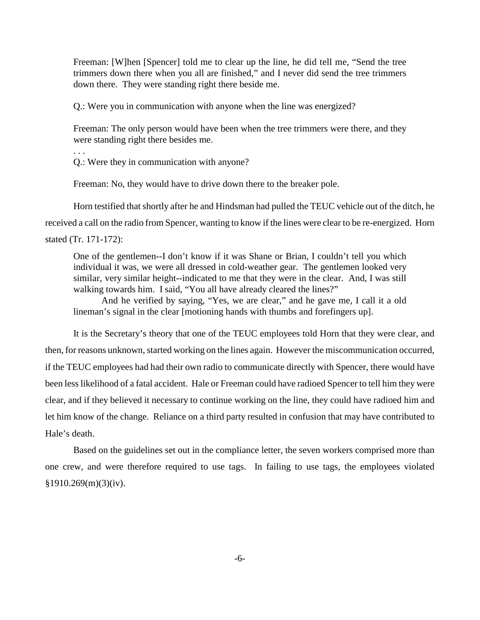Freeman: [W]hen [Spencer] told me to clear up the line, he did tell me, "Send the tree trimmers down there when you all are finished," and I never did send the tree trimmers down there. They were standing right there beside me.

Q.: Were you in communication with anyone when the line was energized?

Freeman: The only person would have been when the tree trimmers were there, and they were standing right there besides me.

Q.: Were they in communication with anyone?

. . .

Freeman: No, they would have to drive down there to the breaker pole.

Horn testified that shortly after he and Hindsman had pulled the TEUC vehicle out of the ditch, he received a call on the radio from Spencer, wanting to know if the lines were clear to be re-energized. Horn stated (Tr. 171-172):

One of the gentlemen--I don't know if it was Shane or Brian, I couldn't tell you which individual it was, we were all dressed in cold-weather gear. The gentlemen looked very similar, very similar height--indicated to me that they were in the clear. And, I was still walking towards him. I said, "You all have already cleared the lines?"

And he verified by saying, "Yes, we are clear," and he gave me, I call it a old lineman's signal in the clear [motioning hands with thumbs and forefingers up].

It is the Secretary's theory that one of the TEUC employees told Horn that they were clear, and then, for reasons unknown, started working on the lines again. However the miscommunication occurred, if the TEUC employees had had their own radio to communicate directly with Spencer, there would have been less likelihood of a fatal accident. Hale or Freeman could have radioed Spencer to tell him they were clear, and if they believed it necessary to continue working on the line, they could have radioed him and let him know of the change. Reliance on a third party resulted in confusion that may have contributed to Hale's death.

Based on the guidelines set out in the compliance letter, the seven workers comprised more than one crew, and were therefore required to use tags. In failing to use tags, the employees violated  $$1910.269(m)(3)(iv).$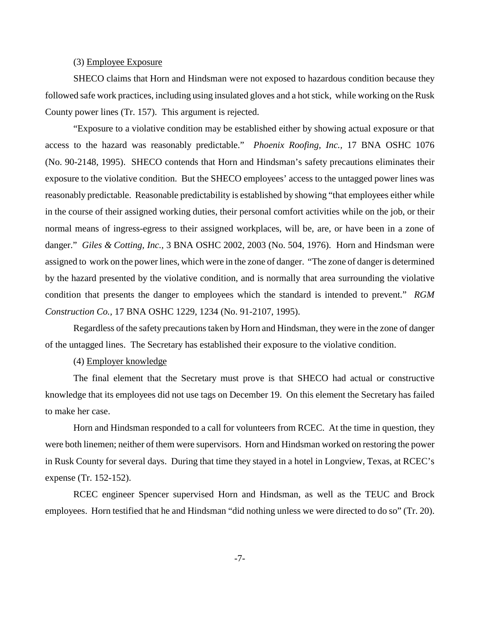#### (3) Employee Exposure

SHECO claims that Horn and Hindsman were not exposed to hazardous condition because they followed safe work practices, including using insulated gloves and a hot stick, while working on the Rusk County power lines (Tr. 157). This argument is rejected.

"Exposure to a violative condition may be established either by showing actual exposure or that access to the hazard was reasonably predictable." *Phoenix Roofing, Inc.,* 17 BNA OSHC 1076 (No. 90-2148, 1995). SHECO contends that Horn and Hindsman's safety precautions eliminates their exposure to the violative condition. But the SHECO employees' access to the untagged power lines was reasonably predictable. Reasonable predictability is established by showing "that employees either while in the course of their assigned working duties, their personal comfort activities while on the job, or their normal means of ingress-egress to their assigned workplaces, will be, are, or have been in a zone of danger." *Giles & Cotting, Inc.,* 3 BNA OSHC 2002, 2003 (No. 504, 1976). Horn and Hindsman were assigned to work on the power lines, which were in the zone of danger. "The zone of danger is determined by the hazard presented by the violative condition, and is normally that area surrounding the violative condition that presents the danger to employees which the standard is intended to prevent." *RGM Construction Co.,* 17 BNA OSHC 1229, 1234 (No. 91-2107, 1995).

Regardless of the safety precautions taken by Horn and Hindsman, they were in the zone of danger of the untagged lines. The Secretary has established their exposure to the violative condition.

# (4) Employer knowledge

The final element that the Secretary must prove is that SHECO had actual or constructive knowledge that its employees did not use tags on December 19. On this element the Secretary has failed to make her case.

Horn and Hindsman responded to a call for volunteers from RCEC. At the time in question, they were both linemen; neither of them were supervisors. Horn and Hindsman worked on restoring the power in Rusk County for several days. During that time they stayed in a hotel in Longview, Texas, at RCEC's expense (Tr. 152-152).

RCEC engineer Spencer supervised Horn and Hindsman, as well as the TEUC and Brock employees. Horn testified that he and Hindsman "did nothing unless we were directed to do so" (Tr. 20).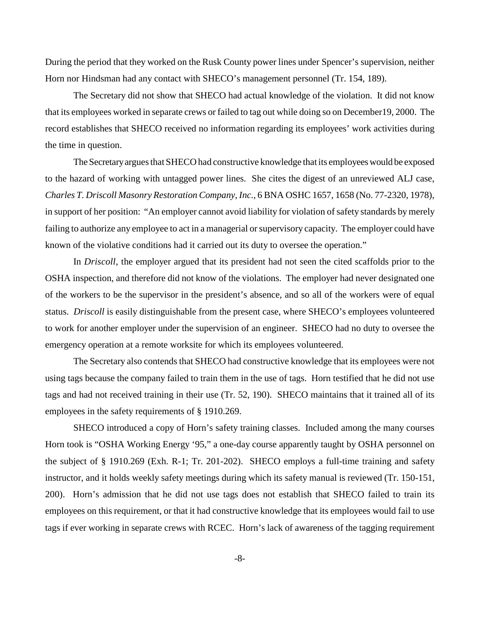During the period that they worked on the Rusk County power lines under Spencer's supervision, neither Horn nor Hindsman had any contact with SHECO's management personnel (Tr. 154, 189).

The Secretary did not show that SHECO had actual knowledge of the violation. It did not know that its employees worked in separate crews or failed to tag out while doing so on December19, 2000. The record establishes that SHECO received no information regarding its employees' work activities during the time in question.

The Secretary argues that SHECO had constructive knowledge that its employees would be exposed to the hazard of working with untagged power lines. She cites the digest of an unreviewed ALJ case, *Charles T. Driscoll Masonry Restoration Company, Inc.,* 6 BNA OSHC 1657, 1658 (No. 77-2320, 1978), in support of her position: "An employer cannot avoid liability for violation of safety standards by merely failing to authorize any employee to act in a managerial or supervisory capacity. The employer could have known of the violative conditions had it carried out its duty to oversee the operation."

In *Driscoll*, the employer argued that its president had not seen the cited scaffolds prior to the OSHA inspection, and therefore did not know of the violations. The employer had never designated one of the workers to be the supervisor in the president's absence, and so all of the workers were of equal status. *Driscoll* is easily distinguishable from the present case, where SHECO's employees volunteered to work for another employer under the supervision of an engineer. SHECO had no duty to oversee the emergency operation at a remote worksite for which its employees volunteered.

The Secretary also contends that SHECO had constructive knowledge that its employees were not using tags because the company failed to train them in the use of tags. Horn testified that he did not use tags and had not received training in their use (Tr. 52, 190). SHECO maintains that it trained all of its employees in the safety requirements of § 1910.269.

SHECO introduced a copy of Horn's safety training classes. Included among the many courses Horn took is "OSHA Working Energy '95," a one-day course apparently taught by OSHA personnel on the subject of § 1910.269 (Exh. R-1; Tr. 201-202). SHECO employs a full-time training and safety instructor, and it holds weekly safety meetings during which its safety manual is reviewed (Tr. 150-151, 200). Horn's admission that he did not use tags does not establish that SHECO failed to train its employees on this requirement, or that it had constructive knowledge that its employees would fail to use tags if ever working in separate crews with RCEC. Horn's lack of awareness of the tagging requirement